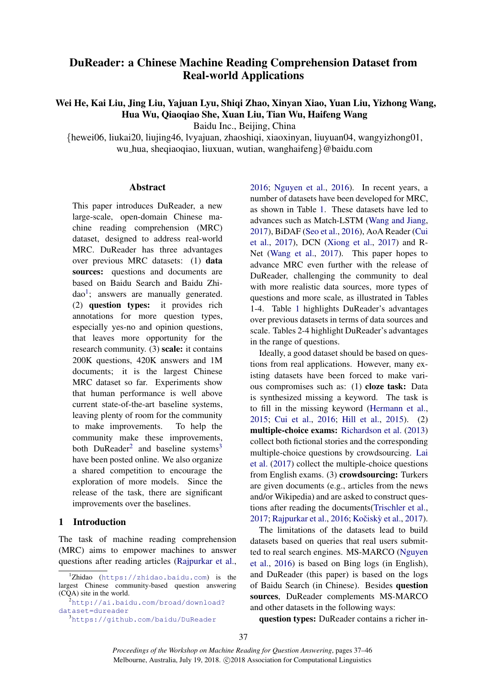# DuReader: a Chinese Machine Reading Comprehension Dataset from Real-world Applications

Wei He, Kai Liu, Jing Liu, Yajuan Lyu, Shiqi Zhao, Xinyan Xiao, Yuan Liu, Yizhong Wang, Hua Wu, Qiaoqiao She, Xuan Liu, Tian Wu, Haifeng Wang

Baidu Inc., Beijing, China

{hewei06, liukai20, liujing46, lvyajuan, zhaoshiqi, xiaoxinyan, liuyuan04, wangyizhong01, wu hua, sheqiaoqiao, liuxuan, wutian, wanghaifeng}@baidu.com

#### **Abstract**

This paper introduces DuReader, a new large-scale, open-domain Chinese machine reading comprehension (MRC) dataset, designed to address real-world MRC. DuReader has three advantages over previous MRC datasets: (1) data sources: questions and documents are based on Baidu Search and Baidu Zhi- $dao<sup>1</sup>$  $dao<sup>1</sup>$  $dao<sup>1</sup>$ ; answers are manually generated. (2) question types: it provides rich annotations for more question types, especially yes-no and opinion questions, that leaves more opportunity for the research community. (3) scale: it contains 200K questions, 420K answers and 1M documents; it is the largest Chinese MRC dataset so far. Experiments show that human performance is well above current state-of-the-art baseline systems, leaving plenty of room for the community to make improvements. To help the community make these improvements, both DuReader<sup>[2](#page-0-1)</sup> and baseline systems<sup>[3](#page-0-2)</sup> have been posted online. We also organize a shared competition to encourage the exploration of more models. Since the release of the task, there are significant improvements over the baselines.

## 1 Introduction

The task of machine reading comprehension (MRC) aims to empower machines to answer questions after reading articles [\(Rajpurkar et al.,](#page-9-0) [2016;](#page-9-0) [Nguyen et al.,](#page-9-1) [2016\)](#page-9-1). In recent years, a number of datasets have been developed for MRC, as shown in Table [1.](#page-1-0) These datasets have led to advances such as Match-LSTM [\(Wang and Jiang,](#page-9-2) [2017\)](#page-9-2), BiDAF [\(Seo et al.,](#page-9-3) [2016\)](#page-9-3), AoA Reader [\(Cui](#page-8-0) [et al.,](#page-8-0) [2017\)](#page-8-0), DCN [\(Xiong et al.,](#page-9-4) [2017\)](#page-9-4) and R-Net [\(Wang et al.,](#page-9-5) [2017\)](#page-9-5). This paper hopes to advance MRC even further with the release of DuReader, challenging the community to deal with more realistic data sources, more types of questions and more scale, as illustrated in Tables 1-4. Table [1](#page-1-0) highlights DuReader's advantages over previous datasets in terms of data sources and scale. Tables 2-4 highlight DuReader's advantages in the range of questions.

Ideally, a good dataset should be based on questions from real applications. However, many existing datasets have been forced to make various compromises such as: (1) cloze task: Data is synthesized missing a keyword. The task is to fill in the missing keyword [\(Hermann et al.,](#page-8-1) [2015;](#page-8-1) [Cui et al.,](#page-8-2) [2016;](#page-8-2) [Hill et al.,](#page-8-3) [2015\)](#page-8-3). (2) multiple-choice exams: [Richardson et al.](#page-9-6) [\(2013\)](#page-9-6) collect both fictional stories and the corresponding multiple-choice questions by crowdsourcing. [Lai](#page-8-4) [et al.](#page-8-4) [\(2017\)](#page-8-4) collect the multiple-choice questions from English exams. (3) crowdsourcing: Turkers are given documents (e.g., articles from the news and/or Wikipedia) and are asked to construct questions after reading the documents[\(Trischler et al.,](#page-9-7) [2017;](#page-9-7) [Rajpurkar et al.,](#page-9-0) [2016;](#page-9-0) Kočiskỳ et al., [2017\)](#page-8-5).

The limitations of the datasets lead to build datasets based on queries that real users submitted to real search engines. MS-MARCO [\(Nguyen](#page-9-1) [et al.,](#page-9-1) [2016\)](#page-9-1) is based on Bing logs (in English), and DuReader (this paper) is based on the logs of Baidu Search (in Chinese). Besides question sources, DuReader complements MS-MARCO and other datasets in the following ways:

question types: DuReader contains a richer in-

<span id="page-0-0"></span><sup>&</sup>lt;sup>1</sup>Zhidao (<https://zhidao.baidu.com>) is the largest Chinese community-based question answering (CQA) site in the world.

<span id="page-0-1"></span><sup>2</sup>[http://ai.baidu.com/broad/download?](http://ai.baidu.com/broad/download?dataset=dureader) [dataset=dureader](http://ai.baidu.com/broad/download?dataset=dureader)

<span id="page-0-2"></span><sup>3</sup><https://github.com/baidu/DuReader>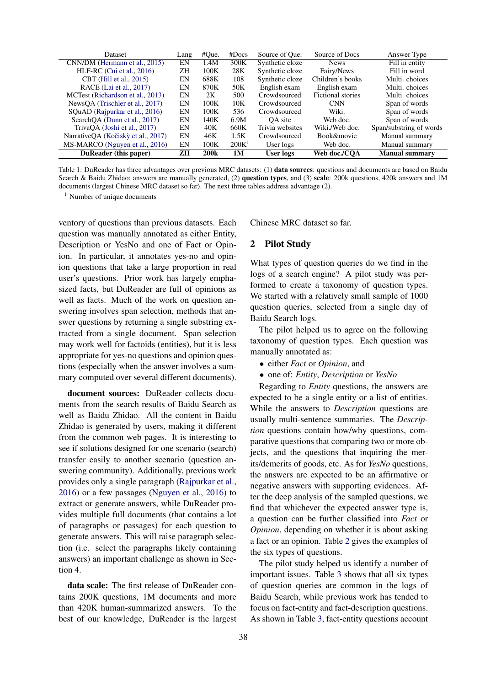<span id="page-1-0"></span>

| Dataset                            | Lang      | #Que.       | #Does             | Source of Oue.  | Source of Docs           | Answer Type             |
|------------------------------------|-----------|-------------|-------------------|-----------------|--------------------------|-------------------------|
| CNN/DM (Hermann et al., 2015)      | EN        | 1.4M        | 300K              | Synthetic cloze | <b>News</b>              | Fill in entity          |
| HLF-RC (Cui et al., $2016$ )       | <b>ΖH</b> | 100K        | 28K               | Synthetic cloze | Fairy/News               | Fill in word            |
| CBT (Hill et al., 2015)            | EN        | 688K        | 108               | Synthetic cloze | Children's books         | Multi, choices          |
| RACE (Lai et al., 2017)            | EN        | 870K        | 50K               | English exam    | English exam             | Multi. choices          |
| MCTest (Richardson et al., 2013)   | EN        | 2K          | 500               | Crowdsourced    | <b>Fictional stories</b> | Multi, choices          |
| NewsOA (Trischler et al., 2017)    | EN        | 100K        | 10K               | Crowdsourced    | <b>CNN</b>               | Span of words           |
| SQuAD (Rajpurkar et al., 2016)     | EN        | 100K        | 536               | Crowdsourced    | Wiki.                    | Span of words           |
| SearchOA (Dunn et al., 2017)       | EN        | 140K        | 6.9M              | OA site         | Web doc.                 | Span of words           |
| TrivaOA (Joshi et al., 2017)       | EN        | 40K         | 660K              | Trivia websites | Wiki./Web doc.           | Span/substring of words |
| NarrativeQA (Kočiskỳ et al., 2017) | EN        | 46K         | 1.5K              | Crowdsourced    | Book&movie               | Manual summary          |
| MS-MARCO (Nguyen et al., 2016)     | EN        | 100K        | 200K <sup>1</sup> | User logs       | Web doc.                 | Manual summary          |
| DuReader (this paper)              | ZH        | <b>200k</b> | 1M                | User logs       | Web doc./COA             | <b>Manual summary</b>   |

Table 1: DuReader has three advantages over previous MRC datasets: (1) data sources: questions and documents are based on Baidu Search & Baidu Zhidao; answers are manually generated, (2) question types, and (3) scale: 200k questions, 420k answers and 1M documents (largest Chinese MRC dataset so far). The next three tables address advantage (2).

 $<sup>1</sup>$  Number of unique documents</sup>

ventory of questions than previous datasets. Each question was manually annotated as either Entity, Description or YesNo and one of Fact or Opinion. In particular, it annotates yes-no and opinion questions that take a large proportion in real user's questions. Prior work has largely emphasized facts, but DuReader are full of opinions as well as facts. Much of the work on question answering involves span selection, methods that answer questions by returning a single substring extracted from a single document. Span selection may work well for factoids (entities), but it is less appropriate for yes-no questions and opinion questions (especially when the answer involves a summary computed over several different documents).

document sources: DuReader collects documents from the search results of Baidu Search as well as Baidu Zhidao. All the content in Baidu Zhidao is generated by users, making it different from the common web pages. It is interesting to see if solutions designed for one scenario (search) transfer easily to another scenario (question answering community). Additionally, previous work provides only a single paragraph [\(Rajpurkar et al.,](#page-9-0) [2016\)](#page-9-0) or a few passages [\(Nguyen et al.,](#page-9-1) [2016\)](#page-9-1) to extract or generate answers, while DuReader provides multiple full documents (that contains a lot of paragraphs or passages) for each question to generate answers. This will raise paragraph selection (i.e. select the paragraphs likely containing answers) an important challenge as shown in Section 4.

data scale: The first release of DuReader contains 200K questions, 1M documents and more than 420K human-summarized answers. To the best of our knowledge, DuReader is the largest Chinese MRC dataset so far.

#### 2 Pilot Study

What types of question queries do we find in the logs of a search engine? A pilot study was performed to create a taxonomy of question types. We started with a relatively small sample of 1000 question queries, selected from a single day of Baidu Search logs.

The pilot helped us to agree on the following taxonomy of question types. Each question was manually annotated as:

- either *Fact* or *Opinion*, and
- one of: *Entity*, *Description* or *YesNo*

Regarding to *Entity* questions, the answers are expected to be a single entity or a list of entities. While the answers to *Description* questions are usually multi-sentence summaries. The *Description* questions contain how/why questions, comparative questions that comparing two or more objects, and the questions that inquiring the merits/demerits of goods, etc. As for *YesNo* questions, the answers are expected to be an affirmative or negative answers with supporting evidences. After the deep analysis of the sampled questions, we find that whichever the expected answer type is, a question can be further classified into *Fact* or *Opinion*, depending on whether it is about asking a fact or an opinion. Table [2](#page-2-0) gives the examples of the six types of questions.

The pilot study helped us identify a number of important issues. Table [3](#page-2-1) shows that all six types of question queries are common in the logs of Baidu Search, while previous work has tended to focus on fact-entity and fact-description questions. As shown in Table [3,](#page-2-1) fact-entity questions account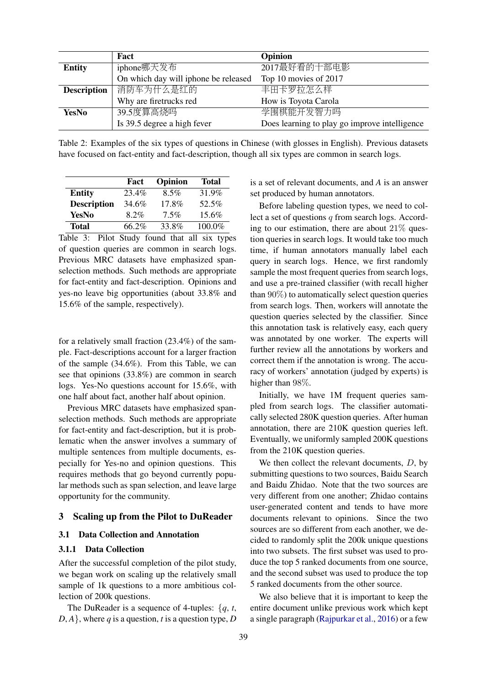<span id="page-2-0"></span>

|                    | Fact                                 | Opinion                                       |
|--------------------|--------------------------------------|-----------------------------------------------|
| <b>Entity</b>      | iphone哪天发布                           | 2017最好看的十部电影                                  |
|                    | On which day will iphone be released | Top 10 movies of 2017                         |
| <b>Description</b> | 消防车为什么是红的                            | 丰田卡罗拉怎么样                                      |
|                    | Why are firetrucks red               | How is Toyota Carola                          |
| <b>YesNo</b>       | 39.5度算高烧吗                            | 学围棋能开发智力吗                                     |
|                    | Is 39.5 degree a high fever          | Does learning to play go improve intelligence |

Table 2: Examples of the six types of questions in Chinese (with glosses in English). Previous datasets have focused on fact-entity and fact-description, though all six types are common in search logs.

<span id="page-2-1"></span>

|                    | Fact    | Opinion | <b>Total</b> |
|--------------------|---------|---------|--------------|
| <b>Entity</b>      | 23.4%   | $8.5\%$ | 31.9%        |
| <b>Description</b> | 34.6%   | 17.8%   | 52.5%        |
| YesNo              | $8.2\%$ | $7.5\%$ | $15.6\%$     |
| <b>Total</b>       | 66.2%   | 33.8%   | 100.0%       |

Table 3: Pilot Study found that all six types of question queries are common in search logs. Previous MRC datasets have emphasized spanselection methods. Such methods are appropriate for fact-entity and fact-description. Opinions and yes-no leave big opportunities (about 33.8% and 15.6% of the sample, respectively).

for a relatively small fraction (23.4%) of the sample. Fact-descriptions account for a larger fraction of the sample (34.6%). From this Table, we can see that opinions (33.8%) are common in search logs. Yes-No questions account for 15.6%, with one half about fact, another half about opinion.

Previous MRC datasets have emphasized spanselection methods. Such methods are appropriate for fact-entity and fact-description, but it is problematic when the answer involves a summary of multiple sentences from multiple documents, especially for Yes-no and opinion questions. This requires methods that go beyond currently popular methods such as span selection, and leave large opportunity for the community.

# <span id="page-2-2"></span>3 Scaling up from the Pilot to DuReader

#### 3.1 Data Collection and Annotation

## 3.1.1 Data Collection

After the successful completion of the pilot study, we began work on scaling up the relatively small sample of 1k questions to a more ambitious collection of 200k questions.

The DuReader is a sequence of 4-tuples: {*q*, *t*,  $D, A$ , where *q* is a question, *t* is a question type, *D*  is a set of relevant documents, and *A* is an answer set produced by human annotators.

Before labeling question types, we need to collect a set of questions  $q$  from search logs. According to our estimation, there are about  $21\%$  question queries in search logs. It would take too much time, if human annotators manually label each query in search logs. Hence, we first randomly sample the most frequent queries from search logs, and use a pre-trained classifier (with recall higher than 90%) to automatically select question queries from search logs. Then, workers will annotate the question queries selected by the classifier. Since this annotation task is relatively easy, each query was annotated by one worker. The experts will further review all the annotations by workers and correct them if the annotation is wrong. The accuracy of workers' annotation (judged by experts) is higher than 98%.

Initially, we have 1M frequent queries sampled from search logs. The classifier automatically selected 280K question queries. After human annotation, there are 210K question queries left. Eventually, we uniformly sampled 200K questions from the 210K question queries.

We then collect the relevant documents,  $D$ , by submitting questions to two sources, Baidu Search and Baidu Zhidao. Note that the two sources are very different from one another; Zhidao contains user-generated content and tends to have more documents relevant to opinions. Since the two sources are so different from each another, we decided to randomly split the 200k unique questions into two subsets. The first subset was used to produce the top 5 ranked documents from one source, and the second subset was used to produce the top 5 ranked documents from the other source.

We also believe that it is important to keep the entire document unlike previous work which kept a single paragraph [\(Rajpurkar et al.,](#page-9-0) [2016\)](#page-9-0) or a few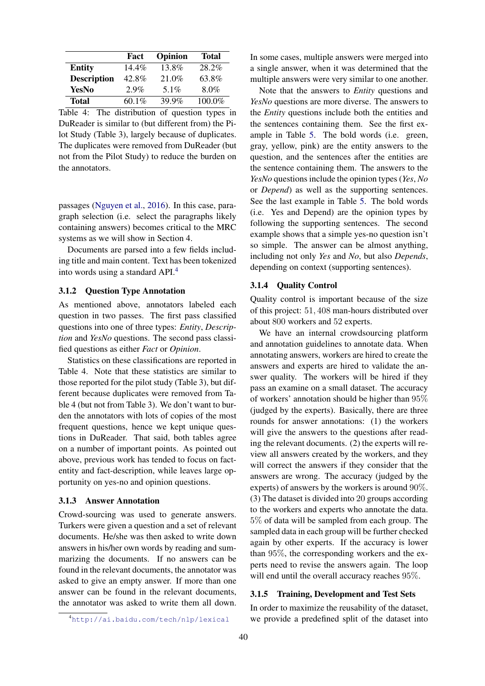|                    | Fact     | Opinion | Total  |
|--------------------|----------|---------|--------|
| <b>Entity</b>      | $14.4\%$ | 13.8%   | 28.2%  |
| <b>Description</b> | 42.8%    | 21.0%   | 63.8%  |
| YesNo              | $2.9\%$  | 5.1%    | 8.0%   |
| <b>Total</b>       | 60.1%    | 39.9%   | 100.0% |

Table 4: The distribution of question types in DuReader is similar to (but different from) the Pilot Study (Table 3), largely because of duplicates. The duplicates were removed from DuReader (but not from the Pilot Study) to reduce the burden on the annotators.

passages [\(Nguyen et al.,](#page-9-1) [2016\)](#page-9-1). In this case, paragraph selection (i.e. select the paragraphs likely containing answers) becomes critical to the MRC systems as we will show in Section 4.

Documents are parsed into a few fields including title and main content. Text has been tokenized into words using a standard API.[4](#page-3-0)

## 3.1.2 Question Type Annotation

As mentioned above, annotators labeled each question in two passes. The first pass classified questions into one of three types: *Entity*, *Description* and *YesNo* questions. The second pass classified questions as either *Fact* or *Opinion*.

Statistics on these classifications are reported in Table 4. Note that these statistics are similar to those reported for the pilot study (Table 3), but different because duplicates were removed from Table 4 (but not from Table 3). We don't want to burden the annotators with lots of copies of the most frequent questions, hence we kept unique questions in DuReader. That said, both tables agree on a number of important points. As pointed out above, previous work has tended to focus on factentity and fact-description, while leaves large opportunity on yes-no and opinion questions.

## 3.1.3 Answer Annotation

Crowd-sourcing was used to generate answers. Turkers were given a question and a set of relevant documents. He/she was then asked to write down answers in his/her own words by reading and summarizing the documents. If no answers can be found in the relevant documents, the annotator was asked to give an empty answer. If more than one answer can be found in the relevant documents, the annotator was asked to write them all down. In some cases, multiple answers were merged into a single answer, when it was determined that the multiple answers were very similar to one another.

Note that the answers to *Entity* questions and *YesNo* questions are more diverse. The answers to the *Entity* questions include both the entities and the sentences containing them. See the first example in Table [5.](#page-4-0) The bold words (i.e. green, gray, yellow, pink) are the entity answers to the question, and the sentences after the entities are the sentence containing them. The answers to the *YesNo* questions include the opinion types (*Yes*, *No* or *Depend*) as well as the supporting sentences. See the last example in Table [5.](#page-4-0) The bold words (i.e. Yes and Depend) are the opinion types by following the supporting sentences. The second example shows that a simple yes-no question isn't so simple. The answer can be almost anything, including not only *Yes* and *No*, but also *Depends*, depending on context (supporting sentences).

#### 3.1.4 Quality Control

Quality control is important because of the size of this project: 51, 408 man-hours distributed over about 800 workers and 52 experts.

We have an internal crowdsourcing platform and annotation guidelines to annotate data. When annotating answers, workers are hired to create the answers and experts are hired to validate the answer quality. The workers will be hired if they pass an examine on a small dataset. The accuracy of workers' annotation should be higher than 95% (judged by the experts). Basically, there are three rounds for answer annotations: (1) the workers will give the answers to the questions after reading the relevant documents. (2) the experts will review all answers created by the workers, and they will correct the answers if they consider that the answers are wrong. The accuracy (judged by the experts) of answers by the workers is around 90%. (3) The dataset is divided into 20 groups according to the workers and experts who annotate the data. 5% of data will be sampled from each group. The sampled data in each group will be further checked again by other experts. If the accuracy is lower than 95%, the corresponding workers and the experts need to revise the answers again. The loop will end until the overall accuracy reaches 95%.

## 3.1.5 Training, Development and Test Sets

In order to maximize the reusability of the dataset, we provide a predefined split of the dataset into

<span id="page-3-0"></span><sup>4</sup><http://ai.baidu.com/tech/nlp/lexical>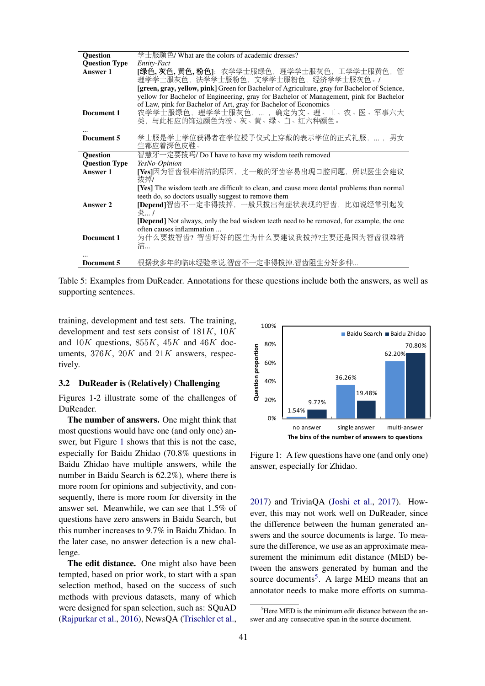<span id="page-4-0"></span>

| <b>Question</b>      | 学士服颜色/ What are the colors of academic dresses?                                                |  |  |  |  |
|----------------------|------------------------------------------------------------------------------------------------|--|--|--|--|
| <b>Question Type</b> | Entity-Fact                                                                                    |  |  |  |  |
| Answer 1             | [ <b>绿色,灰色,黄色,粉色</b> ]:农学学士服绿色,理学学士服灰色,工学学士服黄色,管                                               |  |  |  |  |
|                      | 理学学士服灰色, 法学学士服粉色, 文学学士服粉色, 经济学学士服灰色。/                                                          |  |  |  |  |
|                      | [green, gray, yellow, pink] Green for Bachelor of Agriculture, gray for Bachelor of Science,   |  |  |  |  |
|                      | yellow for Bachelor of Engineering, gray for Bachelor of Management, pink for Bachelor         |  |  |  |  |
|                      | of Law, pink for Bachelor of Art, gray for Bachelor of Economics                               |  |  |  |  |
| Document 1           | 农学学士服绿色, 理学学士服灰色,  , 确定为文、理、工、农、医、军事六大                                                         |  |  |  |  |
|                      | 类, 与此相应的饰边颜色为粉、灰、黄、绿、白、红六种颜色。                                                                  |  |  |  |  |
|                      |                                                                                                |  |  |  |  |
| Document 5           | 学士服是学士学位获得者在学位授予仪式上穿戴的表示学位的正式礼服, ,男女                                                           |  |  |  |  |
|                      | 生都应着深色皮鞋。                                                                                      |  |  |  |  |
| <b>Ouestion</b>      | 智慧牙一定要拔吗/ Do I have to have my wisdom teeth removed                                            |  |  |  |  |
| <b>Question Type</b> | YesNo-Opinion                                                                                  |  |  |  |  |
| Answer 1             | [Yes]因为智齿很难清洁的原因, 比一般的牙齿容易出现口腔问题, 所以医生会建议                                                      |  |  |  |  |
|                      | 拔掉/                                                                                            |  |  |  |  |
|                      | [Yes] The wisdom teeth are difficult to clean, and cause more dental problems than normal      |  |  |  |  |
|                      | teeth do, so doctors usually suggest to remove them                                            |  |  |  |  |
| Answer 2             | [Depend]智齿不一定非得拔掉, 一般只拔出有症状表现的智齿, 比如说经常引起发                                                     |  |  |  |  |
|                      | 炎… /                                                                                           |  |  |  |  |
|                      | <b>[Depend]</b> Not always, only the bad wisdom teeth need to be removed, for example, the one |  |  |  |  |
|                      | often causes inflammation                                                                      |  |  |  |  |
| Document 1           | 为什么要拔智齿?智齿好好的医生为什么要建议我拔掉?主要还是因为智齿很难清                                                           |  |  |  |  |
|                      | 洁…                                                                                             |  |  |  |  |
|                      |                                                                                                |  |  |  |  |
| Document 5           | 根据我多年的临床经验来说,智齿不一定非得拔掉.智齿阻生分好多种                                                                |  |  |  |  |
|                      |                                                                                                |  |  |  |  |

Table 5: Examples from DuReader. Annotations for these questions include both the answers, as well as supporting sentences.

training, development and test sets. The training, development and test sets consist of 181K, 10K and  $10K$  questions,  $855K$ ,  $45K$  and  $46K$  documents,  $376K$ ,  $20K$  and  $21K$  answers, respectively.

## 3.2 DuReader is (Relatively) Challenging

Figures 1-2 illustrate some of the challenges of DuReader.

The number of answers. One might think that most questions would have one (and only one) answer, but Figure [1](#page-4-1) shows that this is not the case, especially for Baidu Zhidao (70.8% questions in Baidu Zhidao have multiple answers, while the number in Baidu Search is 62.2%), where there is more room for opinions and subjectivity, and consequently, there is more room for diversity in the answer set. Meanwhile, we can see that 1.5% of questions have zero answers in Baidu Search, but this number increases to 9.7% in Baidu Zhidao. In the later case, no answer detection is a new challenge.

The edit distance. One might also have been tempted, based on prior work, to start with a span selection method, based on the success of such methods with previous datasets, many of which were designed for span selection, such as: SQuAD [\(Rajpurkar et al.,](#page-9-0) [2016\)](#page-9-0), NewsQA [\(Trischler et al.,](#page-9-7)

<span id="page-4-1"></span>

Figure 1: A few questions have one (and only one) answer, especially for Zhidao.

[2017\)](#page-9-7) and TriviaQA [\(Joshi et al.,](#page-8-7) [2017\)](#page-8-7). However, this may not work well on DuReader, since the difference between the human generated answers and the source documents is large. To measure the difference, we use as an approximate measurement the minimum edit distance (MED) between the answers generated by human and the source documents<sup>[5](#page-4-2)</sup>. A large MED means that an annotator needs to make more efforts on summa-

<span id="page-4-2"></span> $<sup>5</sup>$  Here MED is the minimum edit distance between the an-</sup> swer and any consecutive span in the source document.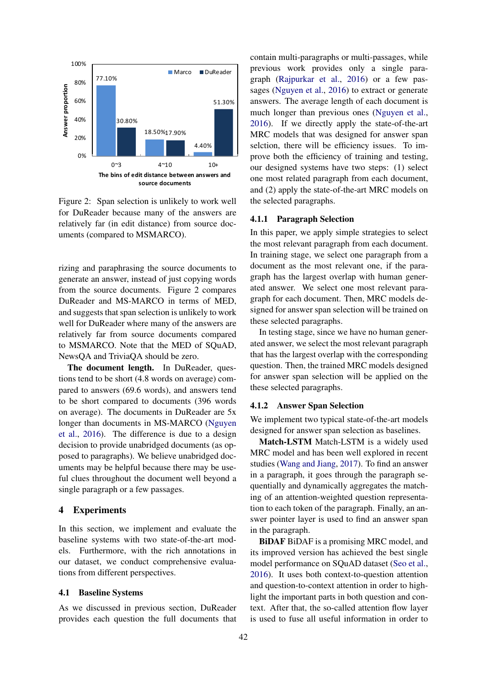

Figure 2: Span selection is unlikely to work well for DuReader because many of the answers are relatively far (in edit distance) from source documents (compared to MSMARCO).

rizing and paraphrasing the source documents to generate an answer, instead of just copying words from the source documents. Figure 2 compares DuReader and MS-MARCO in terms of MED, and suggests that span selection is unlikely to work well for DuReader where many of the answers are relatively far from source documents compared to MSMARCO. Note that the MED of SQuAD, NewsQA and TriviaQA should be zero.

The document length. In DuReader, questions tend to be short (4.8 words on average) compared to answers (69.6 words), and answers tend to be short compared to documents (396 words on average). The documents in DuReader are 5x longer than documents in MS-MARCO [\(Nguyen](#page-9-1) [et al.,](#page-9-1) [2016\)](#page-9-1). The difference is due to a design decision to provide unabridged documents (as opposed to paragraphs). We believe unabridged documents may be helpful because there may be useful clues throughout the document well beyond a single paragraph or a few passages.

## 4 Experiments

In this section, we implement and evaluate the baseline systems with two state-of-the-art models. Furthermore, with the rich annotations in our dataset, we conduct comprehensive evaluations from different perspectives.

#### <span id="page-5-0"></span>4.1 Baseline Systems

As we discussed in previous section, DuReader provides each question the full documents that contain multi-paragraphs or multi-passages, while previous work provides only a single paragraph [\(Rajpurkar et al.,](#page-9-0) [2016\)](#page-9-0) or a few passages [\(Nguyen et al.,](#page-9-1) [2016\)](#page-9-1) to extract or generate answers. The average length of each document is much longer than previous ones [\(Nguyen et al.,](#page-9-1) [2016\)](#page-9-1). If we directly apply the state-of-the-art MRC models that was designed for answer span selction, there will be efficiency issues. To improve both the efficiency of training and testing, our designed systems have two steps: (1) select one most related paragraph from each document, and (2) apply the state-of-the-art MRC models on the selected paragraphs.

## 4.1.1 Paragraph Selection

In this paper, we apply simple strategies to select the most relevant paragraph from each document. In training stage, we select one paragraph from a document as the most relevant one, if the paragraph has the largest overlap with human generated answer. We select one most relevant paragraph for each document. Then, MRC models designed for answer span selection will be trained on these selected paragraphs.

In testing stage, since we have no human generated answer, we select the most relevant paragraph that has the largest overlap with the corresponding question. Then, the trained MRC models designed for answer span selection will be applied on the these selected paragraphs.

#### 4.1.2 Answer Span Selection

We implement two typical state-of-the-art models designed for answer span selection as baselines.

Match-LSTM Match-LSTM is a widely used MRC model and has been well explored in recent studies [\(Wang and Jiang,](#page-9-2) [2017\)](#page-9-2). To find an answer in a paragraph, it goes through the paragraph sequentially and dynamically aggregates the matching of an attention-weighted question representation to each token of the paragraph. Finally, an answer pointer layer is used to find an answer span in the paragraph.

BiDAF BiDAF is a promising MRC model, and its improved version has achieved the best single model performance on SQuAD dataset [\(Seo et al.,](#page-9-3) [2016\)](#page-9-3). It uses both context-to-question attention and question-to-context attention in order to highlight the important parts in both question and context. After that, the so-called attention flow layer is used to fuse all useful information in order to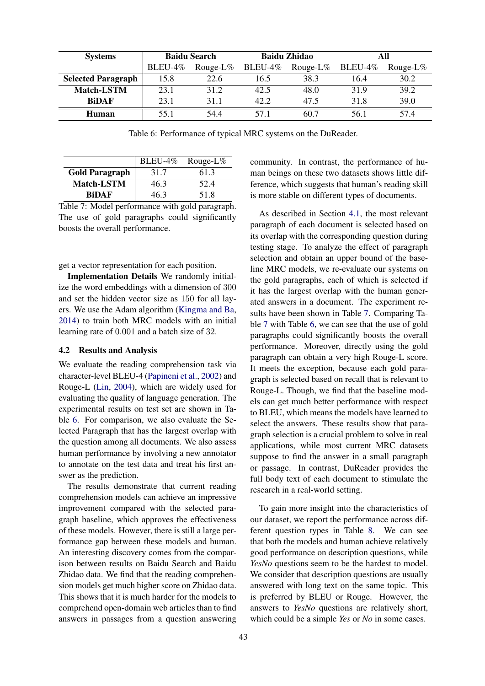<span id="page-6-0"></span>

| <b>Systems</b>            | <b>Baidu Search</b> |             |             | <b>Baidu Zhidao</b> | All        |             |
|---------------------------|---------------------|-------------|-------------|---------------------|------------|-------------|
|                           | $BLEU-4\%$          | Rouge-L $%$ | BLEU-4 $\%$ | Rouge-L $%$         | $BLEU-4\%$ | Rouge-L $%$ |
| <b>Selected Paragraph</b> | 15.8                | 22.6        | 16.5        | 38.3                | 16.4       | 30.2        |
| <b>Match-LSTM</b>         | 23.1                | 31.2        | 42.5        | 48.0                | 31.9       | 39.2        |
| <b>BiDAF</b>              | 23.1                | 311         | 42.2        | 47.5                | 31.8       | 39.0        |
| Human                     | 55 1                | 544         | 571         | 60 7                | 56.1       | 574         |

Table 6: Performance of typical MRC systems on the DuReader.

<span id="page-6-1"></span>

|                       | $BLEU-4\%$ | Rouge-L $%$ |
|-----------------------|------------|-------------|
| <b>Gold Paragraph</b> | 31.7       | 61.3        |
| <b>Match-LSTM</b>     | 46.3       | 52.4        |
| <b>RiDAF</b>          | 46.3       | 51.8        |

Table 7: Model performance with gold paragraph. The use of gold paragraphs could significantly boosts the overall performance.

get a vector representation for each position.

Implementation Details We randomly initialize the word embeddings with a dimension of 300 and set the hidden vector size as 150 for all layers. We use the Adam algorithm [\(Kingma and Ba,](#page-8-8) [2014\)](#page-8-8) to train both MRC models with an initial learning rate of 0.001 and a batch size of 32.

#### 4.2 Results and Analysis

We evaluate the reading comprehension task via character-level BLEU-4 [\(Papineni et al.,](#page-9-8) [2002\)](#page-9-8) and Rouge-L [\(Lin,](#page-8-9) [2004\)](#page-8-9), which are widely used for evaluating the quality of language generation. The experimental results on test set are shown in Table [6.](#page-6-0) For comparison, we also evaluate the Selected Paragraph that has the largest overlap with the question among all documents. We also assess human performance by involving a new annotator to annotate on the test data and treat his first answer as the prediction.

The results demonstrate that current reading comprehension models can achieve an impressive improvement compared with the selected paragraph baseline, which approves the effectiveness of these models. However, there is still a large performance gap between these models and human. An interesting discovery comes from the comparison between results on Baidu Search and Baidu Zhidao data. We find that the reading comprehension models get much higher score on Zhidao data. This shows that it is much harder for the models to comprehend open-domain web articles than to find answers in passages from a question answering community. In contrast, the performance of human beings on these two datasets shows little difference, which suggests that human's reading skill is more stable on different types of documents.

As described in Section [4.1,](#page-5-0) the most relevant paragraph of each document is selected based on its overlap with the corresponding question during testing stage. To analyze the effect of paragraph selection and obtain an upper bound of the baseline MRC models, we re-evaluate our systems on the gold paragraphs, each of which is selected if it has the largest overlap with the human generated answers in a document. The experiment results have been shown in Table [7.](#page-6-1) Comparing Table [7](#page-6-1) with Table [6,](#page-6-0) we can see that the use of gold paragraphs could significantly boosts the overall performance. Moreover, directly using the gold paragraph can obtain a very high Rouge-L score. It meets the exception, because each gold paragraph is selected based on recall that is relevant to Rouge-L. Though, we find that the baseline models can get much better performance with respect to BLEU, which means the models have learned to select the answers. These results show that paragraph selection is a crucial problem to solve in real applications, while most current MRC datasets suppose to find the answer in a small paragraph or passage. In contrast, DuReader provides the full body text of each document to stimulate the research in a real-world setting.

To gain more insight into the characteristics of our dataset, we report the performance across different question types in Table [8.](#page-7-0) We can see that both the models and human achieve relatively good performance on description questions, while *YesNo* questions seem to be the hardest to model. We consider that description questions are usually answered with long text on the same topic. This is preferred by BLEU or Rouge. However, the answers to *YesNo* questions are relatively short, which could be a simple *Yes* or *No* in some cases.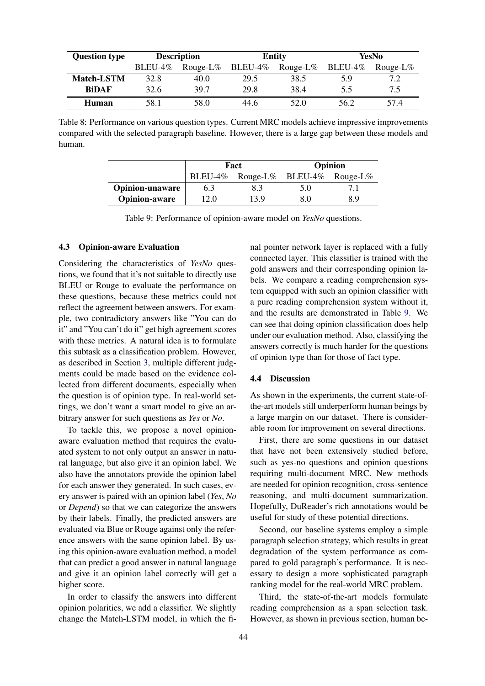<span id="page-7-0"></span>

| <b>Question type</b> | <b>Description</b> |             |         | <b>Entity</b> | <b>YesNo</b> |             |
|----------------------|--------------------|-------------|---------|---------------|--------------|-------------|
|                      | $BLEU-4%$          | Rouge-L $%$ | BLEU-4% | Rouge-L $%$   | BLEU-4%      | Rouge-L $%$ |
| <b>Match-LSTM</b>    | 32.8               | 40.0        | 29.5    | 38.5          | 5.9          | 7.2         |
| <b>BiDAF</b>         | 32.6               | 39.7        | 29.8    | 38.4          | 5.5          | 7.5         |
| Human                | 58.1               | 58.0        | 44.6    | 52.0          | 56.2         | 57.4        |

<span id="page-7-1"></span>Table 8: Performance on various question types. Current MRC models achieve impressive improvements compared with the selected paragraph baseline. However, there is a large gap between these models and human.

|                        |      | Fact                              | <b>Opinion</b> |    |  |
|------------------------|------|-----------------------------------|----------------|----|--|
|                        |      | BLEU-4% Rouge-L% BLEU-4% Rouge-L% |                |    |  |
| <b>Opinion-unaware</b> | 6.3  |                                   | 5.0            |    |  |
| <b>Opinion-aware</b>   | 12.0 | 13.9                              | 80             | 89 |  |

Table 9: Performance of opinion-aware model on *YesNo* questions.

## 4.3 Opinion-aware Evaluation

Considering the characteristics of *YesNo* questions, we found that it's not suitable to directly use BLEU or Rouge to evaluate the performance on these questions, because these metrics could not reflect the agreement between answers. For example, two contradictory answers like "You can do it" and "You can't do it" get high agreement scores with these metrics. A natural idea is to formulate this subtask as a classification problem. However, as described in Section [3,](#page-2-2) multiple different judgments could be made based on the evidence collected from different documents, especially when the question is of opinion type. In real-world settings, we don't want a smart model to give an arbitrary answer for such questions as *Yes* or *No*.

To tackle this, we propose a novel opinionaware evaluation method that requires the evaluated system to not only output an answer in natural language, but also give it an opinion label. We also have the annotators provide the opinion label for each answer they generated. In such cases, every answer is paired with an opinion label (*Yes*, *No* or *Depend*) so that we can categorize the answers by their labels. Finally, the predicted answers are evaluated via Blue or Rouge against only the reference answers with the same opinion label. By using this opinion-aware evaluation method, a model that can predict a good answer in natural language and give it an opinion label correctly will get a higher score.

In order to classify the answers into different opinion polarities, we add a classifier. We slightly change the Match-LSTM model, in which the fi-

nal pointer network layer is replaced with a fully connected layer. This classifier is trained with the gold answers and their corresponding opinion labels. We compare a reading comprehension system equipped with such an opinion classifier with a pure reading comprehension system without it, and the results are demonstrated in Table [9.](#page-7-1) We can see that doing opinion classification does help under our evaluation method. Also, classifying the answers correctly is much harder for the questions of opinion type than for those of fact type.

## 4.4 Discussion

As shown in the experiments, the current state-ofthe-art models still underperform human beings by a large margin on our dataset. There is considerable room for improvement on several directions.

First, there are some questions in our dataset that have not been extensively studied before, such as yes-no questions and opinion questions requiring multi-document MRC. New methods are needed for opinion recognition, cross-sentence reasoning, and multi-document summarization. Hopefully, DuReader's rich annotations would be useful for study of these potential directions.

Second, our baseline systems employ a simple paragraph selection strategy, which results in great degradation of the system performance as compared to gold paragraph's performance. It is necessary to design a more sophisticated paragraph ranking model for the real-world MRC problem.

Third, the state-of-the-art models formulate reading comprehension as a span selection task. However, as shown in previous section, human be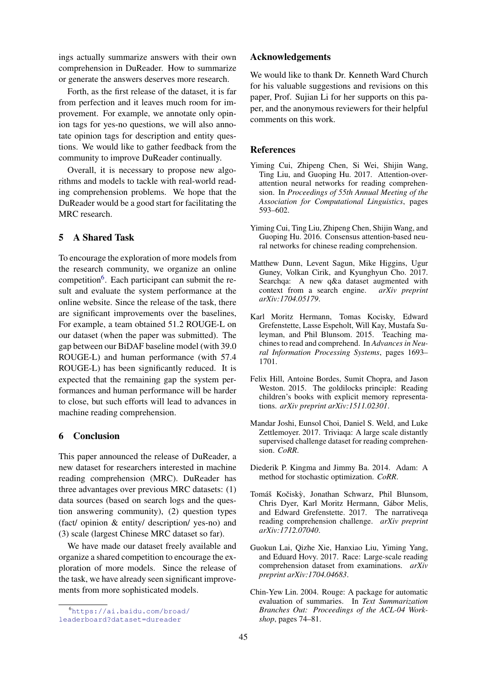ings actually summarize answers with their own comprehension in DuReader. How to summarize or generate the answers deserves more research.

Forth, as the first release of the dataset, it is far from perfection and it leaves much room for improvement. For example, we annotate only opinion tags for yes-no questions, we will also annotate opinion tags for description and entity questions. We would like to gather feedback from the community to improve DuReader continually.

Overall, it is necessary to propose new algorithms and models to tackle with real-world reading comprehension problems. We hope that the DuReader would be a good start for facilitating the MRC research.

# 5 A Shared Task

To encourage the exploration of more models from the research community, we organize an online competition<sup>[6](#page-8-10)</sup>. Each participant can submit the result and evaluate the system performance at the online website. Since the release of the task, there are significant improvements over the baselines, For example, a team obtained 51.2 ROUGE-L on our dataset (when the paper was submitted). The gap between our BiDAF baseline model (with 39.0 ROUGE-L) and human performance (with 57.4 ROUGE-L) has been significantly reduced. It is expected that the remaining gap the system performances and human performance will be harder to close, but such efforts will lead to advances in machine reading comprehension.

## 6 Conclusion

This paper announced the release of DuReader, a new dataset for researchers interested in machine reading comprehension (MRC). DuReader has three advantages over previous MRC datasets: (1) data sources (based on search logs and the question answering community), (2) question types (fact/ opinion & entity/ description/ yes-no) and (3) scale (largest Chinese MRC dataset so far).

We have made our dataset freely available and organize a shared competition to encourage the exploration of more models. Since the release of the task, we have already seen significant improvements from more sophisticated models.

## Acknowledgements

We would like to thank Dr. Kenneth Ward Church for his valuable suggestions and revisions on this paper, Prof. Sujian Li for her supports on this paper, and the anonymous reviewers for their helpful comments on this work.

## References

- <span id="page-8-0"></span>Yiming Cui, Zhipeng Chen, Si Wei, Shijin Wang, Ting Liu, and Guoping Hu. 2017. Attention-overattention neural networks for reading comprehension. In *Proceedings of 55th Annual Meeting of the Association for Computational Linguistics*, pages 593–602.
- <span id="page-8-2"></span>Yiming Cui, Ting Liu, Zhipeng Chen, Shijin Wang, and Guoping Hu. 2016. Consensus attention-based neural networks for chinese reading comprehension.
- <span id="page-8-6"></span>Matthew Dunn, Levent Sagun, Mike Higgins, Ugur Guney, Volkan Cirik, and Kyunghyun Cho. 2017. Searchqa: A new q&a dataset augmented with context from a search engine.  $arXiv$  preprint context from a search engine. *arXiv:1704.05179*.
- <span id="page-8-1"></span>Karl Moritz Hermann, Tomas Kocisky, Edward Grefenstette, Lasse Espeholt, Will Kay, Mustafa Suleyman, and Phil Blunsom. 2015. Teaching machines to read and comprehend. In *Advances in Neural Information Processing Systems*, pages 1693– 1701.
- <span id="page-8-3"></span>Felix Hill, Antoine Bordes, Sumit Chopra, and Jason Weston. 2015. The goldilocks principle: Reading children's books with explicit memory representations. *arXiv preprint arXiv:1511.02301*.
- <span id="page-8-7"></span>Mandar Joshi, Eunsol Choi, Daniel S. Weld, and Luke Zettlemoyer. 2017. Triviaqa: A large scale distantly supervised challenge dataset for reading comprehension. *CoRR*.
- <span id="page-8-8"></span>Diederik P. Kingma and Jimmy Ba. 2014. Adam: A method for stochastic optimization. *CoRR*.
- <span id="page-8-5"></span>Tomáš Kočiskỳ, Jonathan Schwarz, Phil Blunsom, Chris Dyer, Karl Moritz Hermann, Gabor Melis, ´ and Edward Grefenstette. 2017. The narrativeqa reading comprehension challenge. *arXiv preprint arXiv:1712.07040*.
- <span id="page-8-4"></span>Guokun Lai, Qizhe Xie, Hanxiao Liu, Yiming Yang, and Eduard Hovy. 2017. Race: Large-scale reading comprehension dataset from examinations. *arXiv preprint arXiv:1704.04683*.
- <span id="page-8-9"></span>Chin-Yew Lin. 2004. Rouge: A package for automatic evaluation of summaries. In *Text Summarization Branches Out: Proceedings of the ACL-04 Workshop*, pages 74–81.

<span id="page-8-10"></span><sup>6</sup>[https://ai.baidu.com/broad/](https://ai.baidu.com/broad/leaderboard?dataset=dureader) [leaderboard?dataset=dureader](https://ai.baidu.com/broad/leaderboard?dataset=dureader)